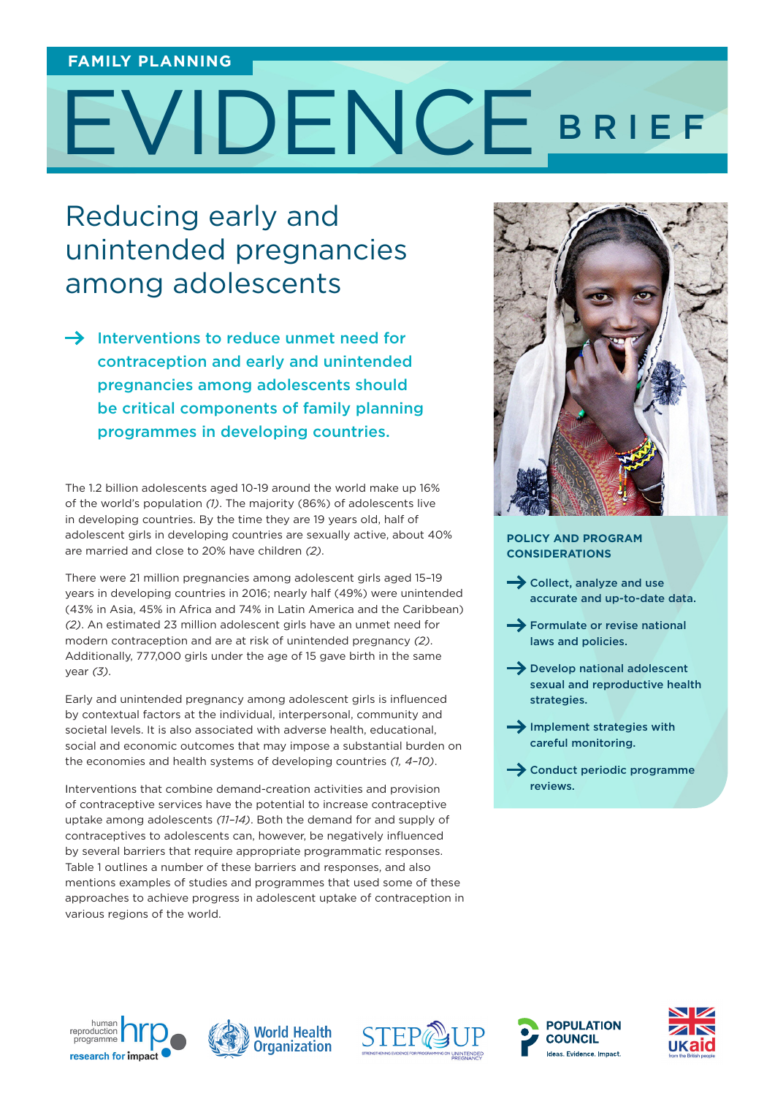#### **FAMILY PLANNING**

# EVIDENCE BRIEF

# Reducing early and unintended pregnancies among adolescents

 $\rightarrow$  Interventions to reduce unmet need for contraception and early and unintended pregnancies among adolescents should be critical components of family planning programmes in developing countries.

The 1.2 billion adolescents aged 10-19 around the world make up 16% of the world's population *(1)*. The majority (86%) of adolescents live in developing countries. By the time they are 19 years old, half of adolescent girls in developing countries are sexually active, about 40% are married and close to 20% have children *(2)*.

There were 21 million pregnancies among adolescent girls aged 15–19 years in developing countries in 2016; nearly half (49%) were unintended (43% in Asia, 45% in Africa and 74% in Latin America and the Caribbean) *(2)*. An estimated 23 million adolescent girls have an unmet need for modern contraception and are at risk of unintended pregnancy *(2)*. Additionally, 777,000 girls under the age of 15 gave birth in the same year *(3)*.

Early and unintended pregnancy among adolescent girls is influenced by contextual factors at the individual, interpersonal, community and societal levels. It is also associated with adverse health, educational, social and economic outcomes that may impose a substantial burden on the economies and health systems of developing countries *(1, 4–10)*.

Interventions that combine demand-creation activities and provision of contraceptive services have the potential to increase contraceptive uptake among adolescents *(11–14)*. Both the demand for and supply of contraceptives to adolescents can, however, be negatively influenced by several barriers that require appropriate programmatic responses. Table 1 outlines a number of these barriers and responses, and also mentions examples of studies and programmes that used some of these approaches to achieve progress in adolescent uptake of contraception in various regions of the world.



#### **POLICY AND PROGRAM CONSIDERATIONS**

- $\rightarrow$  Collect, analyze and use accurate and up-to-date data.
- $\rightarrow$  Formulate or revise national laws and policies.
- $\rightarrow$  Develop national adolescent sexual and reproductive health strategies.
- $\rightarrow$  Implement strategies with careful monitoring.
- $\rightarrow$  Conduct periodic programme reviews.









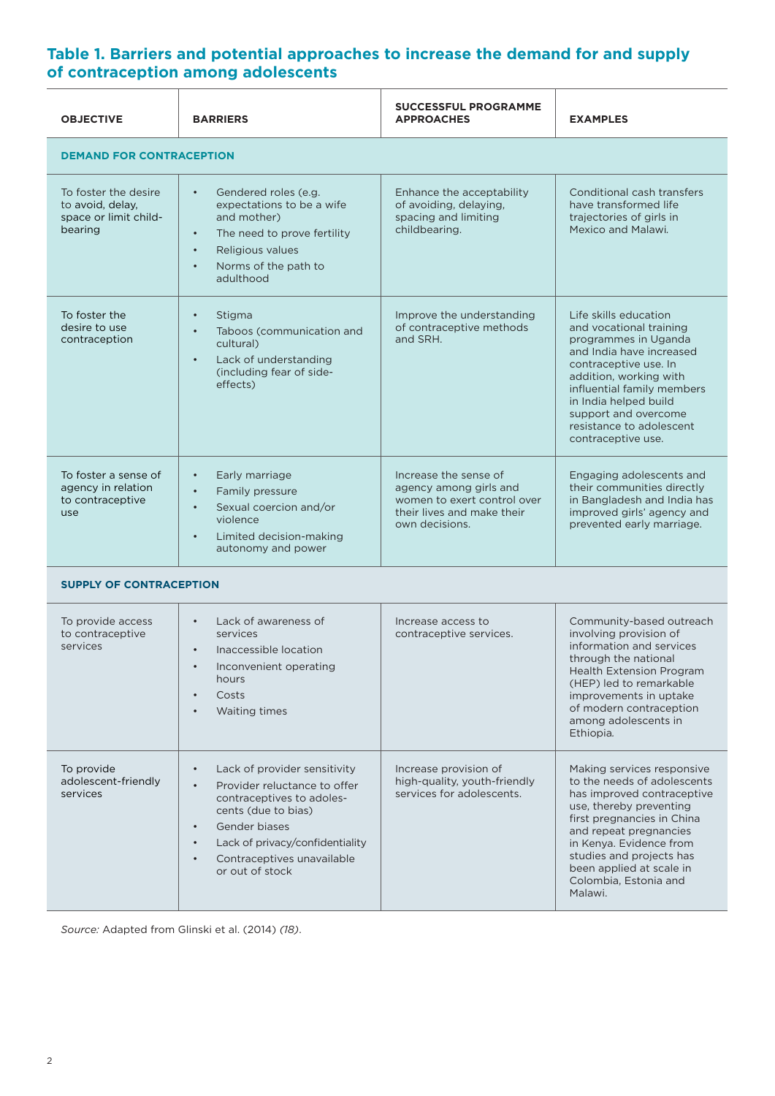## **Table 1. Barriers and potential approaches to increase the demand for and supply of contraception among adolescents**

| <b>OBJECTIVE</b>                                                             | <b>BARRIERS</b>                                                                                                                                                                                              | <b>SUCCESSFUL PROGRAMME</b><br><b>APPROACHES</b>                                                                               | <b>EXAMPLES</b>                                                                                                                                                                                                                                                                          |  |
|------------------------------------------------------------------------------|--------------------------------------------------------------------------------------------------------------------------------------------------------------------------------------------------------------|--------------------------------------------------------------------------------------------------------------------------------|------------------------------------------------------------------------------------------------------------------------------------------------------------------------------------------------------------------------------------------------------------------------------------------|--|
| <b>DEMAND FOR CONTRACEPTION</b>                                              |                                                                                                                                                                                                              |                                                                                                                                |                                                                                                                                                                                                                                                                                          |  |
| To foster the desire<br>to avoid, delay,<br>space or limit child-<br>bearing | Gendered roles (e.g.<br>$\bullet$<br>expectations to be a wife<br>and mother)<br>The need to prove fertility<br>$\bullet$<br>Religious values<br>$\bullet$<br>Norms of the path to<br>$\bullet$<br>adulthood | Enhance the acceptability<br>of avoiding, delaying,<br>spacing and limiting<br>childbearing.                                   | Conditional cash transfers<br>have transformed life<br>trajectories of girls in<br>Mexico and Malawi.                                                                                                                                                                                    |  |
| To foster the<br>desire to use<br>contraception                              | Stigma<br>$\bullet$<br>Taboos (communication and<br>$\bullet$<br>cultural)<br>Lack of understanding<br>$\bullet$<br>(including fear of side-<br>effects)                                                     | Improve the understanding<br>of contraceptive methods<br>and SRH.                                                              | Life skills education<br>and vocational training<br>programmes in Uganda<br>and India have increased<br>contraceptive use. In<br>addition, working with<br>influential family members<br>in India helped build<br>support and overcome<br>resistance to adolescent<br>contraceptive use. |  |
| To foster a sense of<br>agency in relation<br>to contraceptive<br>use        | Early marriage<br>$\bullet$<br>Family pressure<br>$\bullet$<br>Sexual coercion and/or<br>$\bullet$<br>violence<br>Limited decision-making<br>$\bullet$<br>autonomy and power                                 | Increase the sense of<br>agency among girls and<br>women to exert control over<br>their lives and make their<br>own decisions. | Engaging adolescents and<br>their communities directly<br>in Bangladesh and India has<br>improved girls' agency and<br>prevented early marriage.                                                                                                                                         |  |
| <b>SUPPLY OF CONTRACEPTION</b>                                               |                                                                                                                                                                                                              |                                                                                                                                |                                                                                                                                                                                                                                                                                          |  |
| To provide access<br>to contraceptive<br>services                            | Lack of awareness of<br>services<br>وربوا فسيوس المسابوا والموسوس والمسار                                                                                                                                    | Increase access to<br>contraceptive services.                                                                                  | Community-based outreach<br>involving provision of<br>information and services                                                                                                                                                                                                           |  |

| io provide access<br>to contraceptive<br>services | LUCK OF UNUICHCJJ OF<br>services<br>Inaccessible location<br>$\bullet$<br>Inconvenient operating<br>hours<br>Costs<br>$\bullet$<br>Waiting times<br>$\bullet$                                                                                                | ii ici cubc ucccob to<br>contraceptive services.                                   | CONNINGING PUSCU OUGICUCII<br>involving provision of<br>information and services<br>through the national<br><b>Health Extension Program</b><br>(HEP) led to remarkable<br>improvements in uptake<br>of modern contraception<br>among adolescents in<br>Ethiopia.                                  |
|---------------------------------------------------|--------------------------------------------------------------------------------------------------------------------------------------------------------------------------------------------------------------------------------------------------------------|------------------------------------------------------------------------------------|---------------------------------------------------------------------------------------------------------------------------------------------------------------------------------------------------------------------------------------------------------------------------------------------------|
| To provide<br>adolescent-friendly<br>services     | Lack of provider sensitivity<br>Provider reluctance to offer<br>$\bullet$<br>contraceptives to adoles-<br>cents (due to bias)<br>Gender biases<br>$\bullet$<br>Lack of privacy/confidentiality<br>Contraceptives unavailable<br>$\bullet$<br>or out of stock | Increase provision of<br>high-quality, youth-friendly<br>services for adolescents. | Making services responsive<br>to the needs of adolescents<br>has improved contraceptive<br>use, thereby preventing<br>first pregnancies in China<br>and repeat pregnancies<br>in Kenya. Evidence from<br>studies and projects has<br>been applied at scale in<br>Colombia, Estonia and<br>Malawi. |

*Source:* Adapted from Glinski et al. (2014) *(18)*.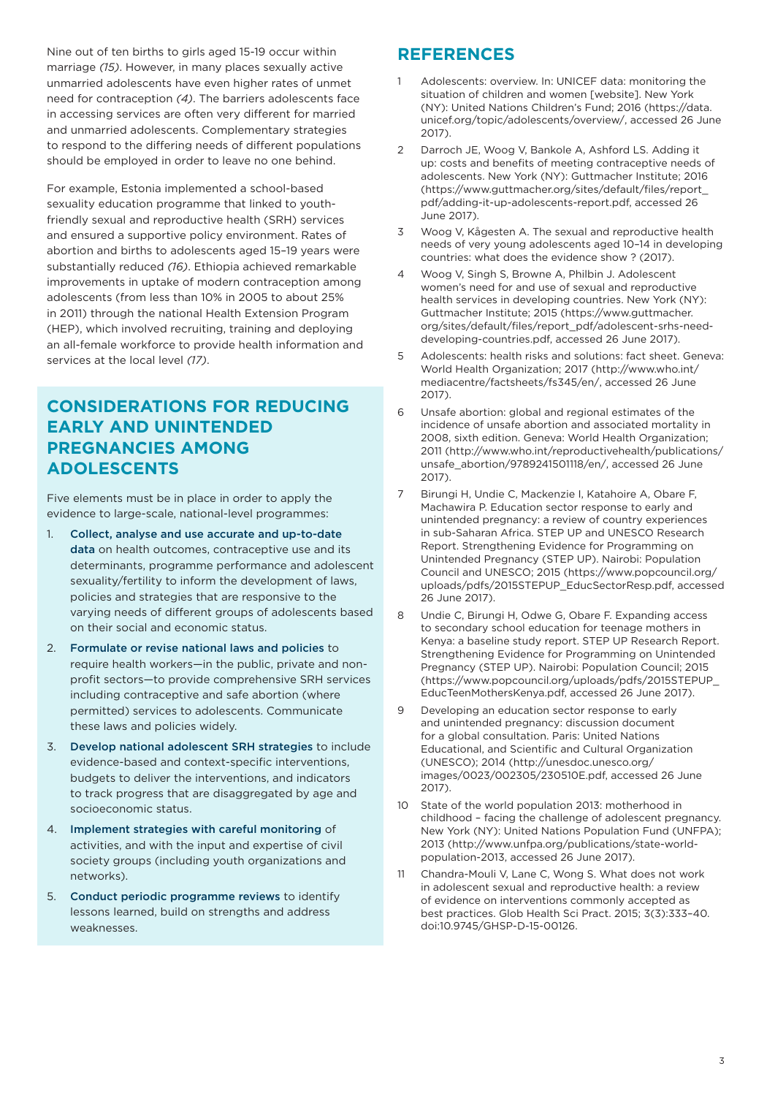Nine out of ten births to girls aged 15-19 occur within marriage *(15)*. However, in many places sexually active unmarried adolescents have even higher rates of unmet need for contraception *(4)*. The barriers adolescents face in accessing services are often very different for married and unmarried adolescents. Complementary strategies to respond to the differing needs of different populations should be employed in order to leave no one behind.

For example, Estonia implemented a school-based sexuality education programme that linked to youthfriendly sexual and reproductive health (SRH) services and ensured a supportive policy environment. Rates of abortion and births to adolescents aged 15–19 years were substantially reduced *(16)*. Ethiopia achieved remarkable improvements in uptake of modern contraception among adolescents (from less than 10% in 2005 to about 25% in 2011) through the national Health Extension Program (HEP), which involved recruiting, training and deploying an all-female workforce to provide health information and services at the local level *(17)*.

## **CONSIDERATIONS FOR REDUCING EARLY AND UNINTENDED PREGNANCIES AMONG ADOLESCENTS**

Five elements must be in place in order to apply the evidence to large-scale, national-level programmes:

- 1. Collect, analyse and use accurate and up-to-date data on health outcomes, contraceptive use and its determinants, programme performance and adolescent sexuality/fertility to inform the development of laws, policies and strategies that are responsive to the varying needs of different groups of adolescents based on their social and economic status.
- 2. Formulate or revise national laws and policies to require health workers—in the public, private and nonprofit sectors—to provide comprehensive SRH services including contraceptive and safe abortion (where permitted) services to adolescents. Communicate these laws and policies widely.
- 3. Develop national adolescent SRH strategies to include evidence-based and context-specific interventions, budgets to deliver the interventions, and indicators to track progress that are disaggregated by age and socioeconomic status.
- 4. Implement strategies with careful monitoring of activities, and with the input and expertise of civil society groups (including youth organizations and networks).
- 5. Conduct periodic programme reviews to identify lessons learned, build on strengths and address weaknesses.

## **REFERENCES**

- Adolescents: overview. In: UNICEF data: monitoring the situation of children and women [website]. New York (NY): United Nations Children's Fund; 2016 (https://data. unicef.org/topic/adolescents/overview/, accessed 26 June 2017).
- 2 Darroch JE, Woog V, Bankole A, Ashford LS. Adding it up: costs and benefits of meeting contraceptive needs of adolescents. New York (NY): Guttmacher Institute; 2016 (https://www.guttmacher.org/sites/default/files/report\_ pdf/adding-it-up-adolescents-report.pdf, accessed 26 June 2017).
- 3 Woog V, Kågesten A. The sexual and reproductive health needs of very young adolescents aged 10–14 in developing countries: what does the evidence show ? (2017).
- 4 Woog V, Singh S, Browne A, Philbin J. Adolescent women's need for and use of sexual and reproductive health services in developing countries. New York (NY): Guttmacher Institute; 2015 (https://www.guttmacher. org/sites/default/files/report\_pdf/adolescent-srhs-needdeveloping-countries.pdf, accessed 26 June 2017).
- 5 Adolescents: health risks and solutions: fact sheet. Geneva: World Health Organization; 2017 (http://www.who.int/ mediacentre/factsheets/fs345/en/, accessed 26 June 2017).
- 6 Unsafe abortion: global and regional estimates of the incidence of unsafe abortion and associated mortality in 2008, sixth edition. Geneva: World Health Organization; 2011 (http://www.who.int/reproductivehealth/publications/ unsafe\_abortion/9789241501118/en/, accessed 26 June 2017).
- 7 Birungi H, Undie C, Mackenzie I, Katahoire A, Obare F, Machawira P. Education sector response to early and unintended pregnancy: a review of country experiences in sub-Saharan Africa. STEP UP and UNESCO Research Report. Strengthening Evidence for Programming on Unintended Pregnancy (STEP UP). Nairobi: Population Council and UNESCO; 2015 (https://www.popcouncil.org/ uploads/pdfs/2015STEPUP\_EducSectorResp.pdf, accessed 26 June 2017).
- 8 Undie C, Birungi H, Odwe G, Obare F. Expanding access to secondary school education for teenage mothers in Kenya: a baseline study report. STEP UP Research Report. Strengthening Evidence for Programming on Unintended Pregnancy (STEP UP). Nairobi: Population Council; 2015 (https://www.popcouncil.org/uploads/pdfs/2015STEPUP\_ EducTeenMothersKenya.pdf, accessed 26 June 2017).
- 9 Developing an education sector response to early and unintended pregnancy: discussion document for a global consultation. Paris: United Nations Educational, and Scientific and Cultural Organization (UNESCO); 2014 (http://unesdoc.unesco.org/ images/0023/002305/230510E.pdf, accessed 26 June 2017).
- 10 State of the world population 2013: motherhood in childhood – facing the challenge of adolescent pregnancy. New York (NY): United Nations Population Fund (UNFPA); 2013 (http://www.unfpa.org/publications/state-worldpopulation-2013, accessed 26 June 2017).
- 11 Chandra-Mouli V, Lane C, Wong S. What does not work in adolescent sexual and reproductive health: a review of evidence on interventions commonly accepted as best practices. Glob Health Sci Pract. 2015; 3(3):333–40. doi:10.9745/GHSP-D-15-00126.